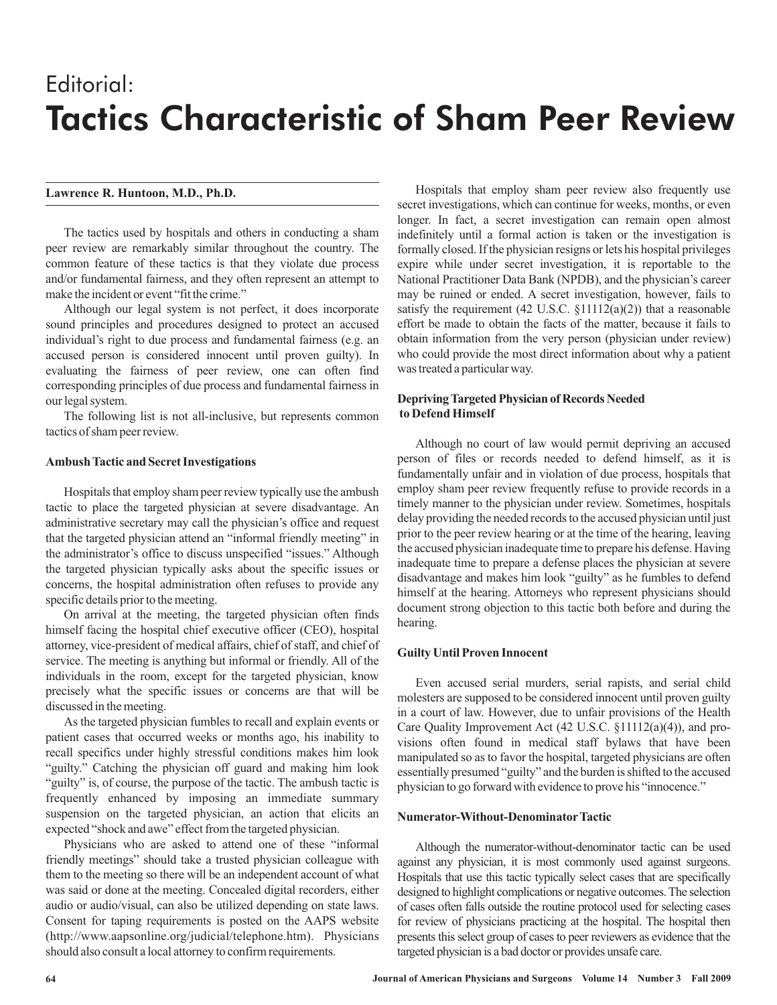# Editorial: Tactics Characteristic of Sham Peer Review

# **Lawrence R. Huntoon, M.D., Ph.D.**

The tactics used by hospitals and others in conducting a sham peer review are remarkably similar throughout the country. The common feature of these tactics is that they violate due process and/or fundamental fairness, and they often represent an attempt to make the incident or event "fit the crime."

Although our legal system is not perfect, it does incorporate sound principles and procedures designed to protect an accused individual's right to due process and fundamental fairness (e.g. an accused person is considered innocent until proven guilty). In evaluating the fairness of peer review, one can often find corresponding principles of due process and fundamental fairness in our legal system.

The following list is not all-inclusive, but represents common tactics of sham peer review.

## **Ambush Tactic and Secret Investigations**

Hospitals that employ sham peer review typically use the ambush tactic to place the targeted physician at severe disadvantage. An administrative secretary may call the physician's office and request that the targeted physician attend an "informal friendly meeting" in the administrator's office to discuss unspecified "issues." Although the targeted physician typically asks about the specific issues or concerns, the hospital administration often refuses to provide any specific details prior to the meeting.

On arrival at the meeting, the targeted physician often finds himself facing the hospital chief executive officer (CEO), hospital attorney, vice-president of medical affairs, chief of staff, and chief of service. The meeting is anything but informal or friendly. All of the individuals in the room, except for the targeted physician, know precisely what the specific issues or concerns are that will be discussed in the meeting.

As the targeted physician fumbles to recall and explain events or patient cases that occurred weeks or months ago, his inability to recall specifics under highly stressful conditions makes him look "guilty." Catching the physician off guard and making him look "guilty" is, of course, the purpose of the tactic. The ambush tactic is frequently enhanced by imposing an immediate summary suspension on the targeted physician, an action that elicits an expected "shock and awe" effect from the targeted physician.

Physicians who are asked to attend one of these "informal friendly meetings" should take a trusted physician colleague with them to the meeting so there will be an independent account of what was said or done at the meeting. Concealed digital recorders, either audio or audio/visual, can also be utilized depending on state laws. Consent for taping requirements is posted on the AAPS website (http://www.aapsonline.org/judicial/telephone.htm). Physicians should also consult a local attorney to confirm requirements.

Hospitals that employ sham peer review also frequently use secret investigations, which can continue for weeks, months, or even longer. In fact, a secret investigation can remain open almost indefinitely until a formal action is taken or the investigation is formally closed. If the physician resigns or lets his hospital privileges expire while under secret investigation, it is reportable to the National Practitioner Data Bank (NPDB), and the physician's career may be ruined or ended. A secret investigation, however, fails to satisfy the requirement  $(42 \text{ U.S.C. } $11112(a)(2))$  that a reasonable effort be made to obtain the facts of the matter, because it fails to obtain information from the very person (physician under review) who could provide the most direct information about why a patient was treated a particular way.

# **Depriving Targeted Physician of Records Needed to Defend Himself**

Although no court of law would permit depriving an accused person of files or records needed to defend himself, as it is fundamentally unfair and in violation of due process, hospitals that employ sham peer review frequently refuse to provide records in a timely manner to the physician under review. Sometimes, hospitals delay providing the needed records to the accused physician until just prior to the peer review hearing or at the time of the hearing, leaving the accused physician inadequate time to prepare his defense. Having inadequate time to prepare a defense places the physician at severe disadvantage and makes him look "guilty" as he fumbles to defend himself at the hearing. Attorneys who represent physicians should document strong objection to this tactic both before and during the hearing.

# **Guilty Until Proven Innocent**

Even accused serial murders, serial rapists, and serial child molesters are supposed to be considered innocent until proven guilty in a court of law. However, due to unfair provisions of the Health Care Quality Improvement Act (42 U.S.C. §11112(a)(4)), and provisions often found in medical staff bylaws that have been manipulated so as to favor the hospital, targeted physicians are often essentially presumed "guilty" and the burden is shifted to the accused physician to go forward with evidence to prove his "innocence."

#### **Numerator-Without-DenominatorTactic**

Although the numerator-without-denominator tactic can be used against any physician, it is most commonly used against surgeons. Hospitals that use this tactic typically select cases that are specifically designed to highlight complications or negative outcomes. The selection of cases often falls outside the routine protocol used for selecting cases for review of physicians practicing at the hospital. The hospital then presents this select group of cases to peer reviewers as evidence that the targeted physician is a bad doctor or provides unsafe care.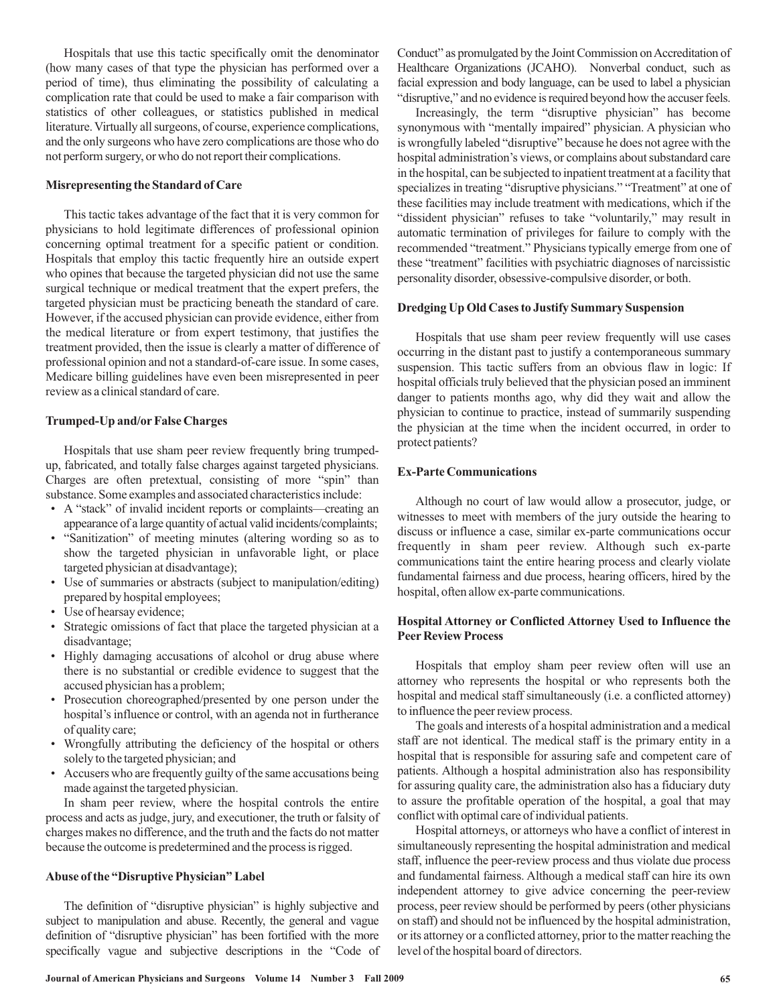Hospitals that use this tactic specifically omit the denominator (how many cases of that type the physician has performed over a period of time), thus eliminating the possibility of calculating a complication rate that could be used to make a fair comparison with statistics of other colleagues, or statistics published in medical literature. Virtually all surgeons, of course, experience complications, and the only surgeons who have zero complications are those who do not perform surgery, or who do not report their complications.

# **Misrepresenting the Standard of Care**

This tactic takes advantage of the fact that it is very common for physicians to hold legitimate differences of professional opinion concerning optimal treatment for a specific patient or condition. Hospitals that employ this tactic frequently hire an outside expert who opines that because the targeted physician did not use the same surgical technique or medical treatment that the expert prefers, the targeted physician must be practicing beneath the standard of care. However, if the accused physician can provide evidence, either from the medical literature or from expert testimony, that justifies the treatment provided, then the issue is clearly a matter of difference of professional opinion and not a standard-of-care issue. In some cases, Medicare billing guidelines have even been misrepresented in peer review as a clinical standard of care.

#### **Trumped-Up and/or False Charges**

Hospitals that use sham peer review frequently bring trumpedup, fabricated, and totally false charges against targeted physicians. Charges are often pretextual, consisting of more "spin" than substance. Some examples and associated characteristics include:

- A "stack" of invalid incident reports or complaints—creating an appearance of a large quantity of actual valid incidents/complaints;
- "Sanitization" of meeting minutes (altering wording so as to show the targeted physician in unfavorable light, or place targeted physician at disadvantage);
- Use of summaries or abstracts (subject to manipulation/editing) prepared by hospital employees;
- Use of hearsay evidence; •
- Strategic omissions of fact that place the targeted physician at a disadvantage;
- Highly damaging accusations of alcohol or drug abuse where there is no substantial or credible evidence to suggest that the accused physician has a problem;
- Prosecution choreographed/presented by one person under the hospital's influence or control, with an agenda not in furtherance of quality care;
- Wrongfully attributing the deficiency of the hospital or others solely to the targeted physician; and
- Accusers who are frequently guilty of the same accusations being made against the targeted physician.

In sham peer review, where the hospital controls the entire process and acts as judge, jury, and executioner, the truth or falsity of charges makes no difference, and the truth and the facts do not matter because the outcome is predetermined and the process is rigged.

# **Abuse of the "Disruptive Physician" Label**

The definition of "disruptive physician" is highly subjective and subject to manipulation and abuse. Recently, the general and vague definition of "disruptive physician" has been fortified with the more specifically vague and subjective descriptions in the "Code of Conduct" as promulgated by the Joint Commission on Accreditation of Healthcare Organizations (JCAHO). Nonverbal conduct, such as facial expression and body language, can be used to label a physician "disruptive," and no evidence is required beyond how the accuser feels.

Increasingly, the term "disruptive physician" has become synonymous with "mentally impaired" physician. A physician who is wrongfully labeled "disruptive" because he does not agree with the hospital administration's views, or complains about substandard care in the hospital, can be subjected to inpatient treatment at a facility that specializes in treating "disruptive physicians." "Treatment" at one of these facilities may include treatment with medications, which if the "dissident physician" refuses to take "voluntarily," may result in automatic termination of privileges for failure to comply with the recommended "treatment." Physicians typically emerge from one of these "treatment" facilities with psychiatric diagnoses of narcissistic personality disorder, obsessive-compulsive disorder, or both.

#### **Dredging Up Old Cases to Justify Summary Suspension**

Hospitals that use sham peer review frequently will use cases occurring in the distant past to justify a contemporaneous summary suspension. This tactic suffers from an obvious flaw in logic: If hospital officials truly believed that the physician posed an imminent danger to patients months ago, why did they wait and allow the physician to continue to practice, instead of summarily suspending the physician at the time when the incident occurred, in order to protect patients?

#### **Ex-Parte Communications**

Although no court of law would allow a prosecutor, judge, or witnesses to meet with members of the jury outside the hearing to discuss or influence a case, similar ex-parte communications occur frequently in sham peer review. Although such ex-parte communications taint the entire hearing process and clearly violate fundamental fairness and due process, hearing officers, hired by the hospital, often allow ex-parte communications.

# **Hospital Attorney or Conflicted Attorney Used to Influence the Peer Review Process**

Hospitals that employ sham peer review often will use an attorney who represents the hospital or who represents both the hospital and medical staff simultaneously (i.e. a conflicted attorney) to influence the peer review process.

The goals and interests of a hospital administration and a medical staff are not identical. The medical staff is the primary entity in a hospital that is responsible for assuring safe and competent care of patients. Although a hospital administration also has responsibility for assuring quality care, the administration also has a fiduciary duty to assure the profitable operation of the hospital, a goal that may conflict with optimal care of individual patients.

Hospital attorneys, or attorneys who have a conflict of interest in simultaneously representing the hospital administration and medical staff, influence the peer-review process and thus violate due process and fundamental fairness. Although a medical staff can hire its own independent attorney to give advice concerning the peer-review process, peer review should be performed by peers (other physicians on staff) and should not be influenced by the hospital administration, or its attorney or a conflicted attorney, prior to the matter reaching the level of the hospital board of directors.